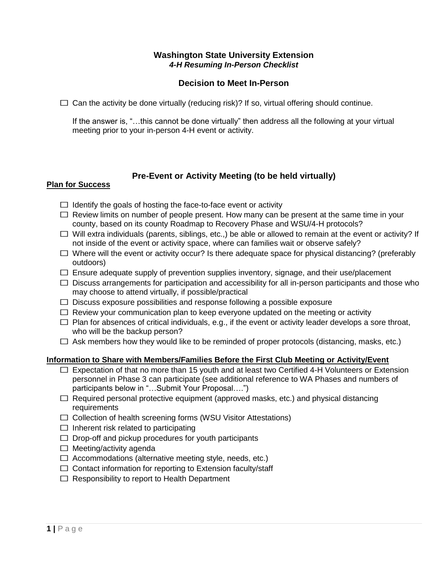## **Washington State University Extension** *4-H Resuming In-Person Checklist*

## **Decision to Meet In-Person**

 $\Box$  Can the activity be done virtually (reducing risk)? If so, virtual offering should continue.

If the answer is, "…this cannot be done virtually" then address all the following at your virtual meeting prior to your in-person 4-H event or activity.

# **Pre-Event or Activity Meeting (to be held virtually)**

#### **Plan for Success**

- $\Box$  Identify the goals of hosting the face-to-face event or activity
- $\Box$  Review limits on number of people present. How many can be present at the same time in your county, based on its county Roadmap to Recovery Phase and WSU/4-H protocols?
- ☐ Will extra individuals (parents, siblings, etc.,) be able or allowed to remain at the event or activity? If not inside of the event or activity space, where can families wait or observe safely?
- $\Box$  Where will the event or activity occur? Is there adequate space for physical distancing? (preferably outdoors)
- $\Box$  Ensure adequate supply of prevention supplies inventory, signage, and their use/placement
- $\Box$  Discuss arrangements for participation and accessibility for all in-person participants and those who may choose to attend virtually, if possible/practical
- $\Box$  Discuss exposure possibilities and response following a possible exposure
- $\Box$  Review your communication plan to keep everyone updated on the meeting or activity
- $\Box$  Plan for absences of critical individuals, e.g., if the event or activity leader develops a sore throat, who will be the backup person?
- $\Box$  Ask members how they would like to be reminded of proper protocols (distancing, masks, etc.)

# **Information to Share with Members/Families Before the First Club Meeting or Activity/Event**

- ☐ Expectation of that no more than 15 youth and at least two Certified 4-H Volunteers or Extension personnel in Phase 3 can participate (see additional reference to WA Phases and numbers of participants below in "…Submit Your Proposal….")
- $\Box$  Required personal protective equipment (approved masks, etc.) and physical distancing requirements
- ☐ Collection of health screening forms (WSU Visitor Attestations)
- $\Box$  Inherent risk related to participating
- $\Box$  Drop-off and pickup procedures for youth participants
- $\Box$  Meeting/activity agenda
- $\Box$  Accommodations (alternative meeting style, needs, etc.)
- $\Box$  Contact information for reporting to Extension faculty/staff
- ☐ Responsibility to report to Health Department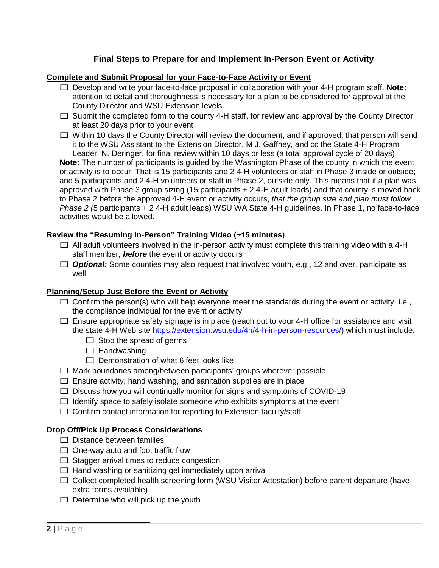# **Final Steps to Prepare for and Implement In-Person Event or Activity**

## **Complete and Submit Proposal for your Face-to-Face Activity or Event**

- ☐ Develop and write your face-to-face proposal in collaboration with your 4-H program staff. **Note:** attention to detail and thoroughness is necessary for a plan to be considered for approval at the County Director and WSU Extension levels.
- $\Box$  Submit the completed form to the county 4-H staff, for review and approval by the County Director at least 20 days prior to your event
- ☐ Within 10 days the County Director will review the document, and if approved, that person will send it to the WSU Assistant to the Extension Director, M J. Gaffney, and cc the State 4-H Program Leader, N. Deringer, for final review within 10 days or less (a total approval cycle of 20 days)

**Note:** The number of participants is guided by the Washington Phase of the county in which the event or activity is to occur. That is,15 participants and 2 4-H volunteers or staff in Phase 3 inside or outside; and 5 participants and 2 4-H volunteers or staff in Phase 2, outside only. This means that if a plan was approved with Phase 3 group sizing (15 participants + 2 4-H adult leads) and that county is moved back to Phase 2 before the approved 4-H event or activity occurs, *that the group size and plan must follow Phase 2 (*5 participants + 2 4-H adult leads) WSU WA State 4-H guidelines. In Phase 1, no face-to-face activities would be allowed.

#### **Review the "Resuming In-Person" Training Video (~15 minutes)**

- $\Box$  All adult volunteers involved in the in-person activity must complete this training video with a 4-H staff member, *before* the event or activity occurs
- □ *Optional:* Some counties may also request that involved youth, e.g., 12 and over, participate as well

#### **Planning/Setup Just Before the Event or Activity**

- $\Box$  Confirm the person(s) who will help everyone meet the standards during the event or activity, i.e., the compliance individual for the event or activity
- $\Box$  Ensure appropriate safety signage is in place (reach out to your 4-H office for assistance and visit the state 4-H Web site [https://extension.wsu.edu/4h/4-h-in-person-resources/\)](https://extension.wsu.edu/4h/4-h-in-person-resources/) which must include:
	- $\Box$  Stop the spread of germs
	- $\Box$  Handwashing
	- $\Box$  Demonstration of what 6 feet looks like
- $\Box$  Mark boundaries among/between participants' groups wherever possible
- $\Box$  Ensure activity, hand washing, and sanitation supplies are in place
- $\Box$  Discuss how you will continually monitor for signs and symptoms of COVID-19
- $\Box$  Identify space to safely isolate someone who exhibits symptoms at the event
- $\Box$  Confirm contact information for reporting to Extension faculty/staff

#### **Drop Off/Pick Up Process Considerations**

- $\Box$  Distance between families
- $\Box$  One-way auto and foot traffic flow
- $\Box$  Stagger arrival times to reduce congestion
- $\Box$  Hand washing or sanitizing gel immediately upon arrival
- □ Collect completed health screening form (WSU Visitor Attestation) before parent departure (have extra forms available)
- $\Box$  Determine who will pick up the youth